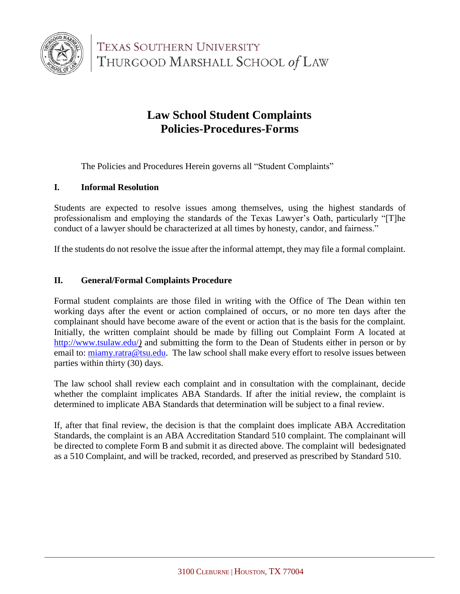

**TEXAS SOUTHERN UNIVERSITY** THURGOOD MARSHALL SCHOOL of LAW

# **Law School Student Complaints Policies-Procedures-Forms**

The Policies and Procedures Herein governs all "Student Complaints"

### **I. Informal Resolution**

Students are expected to resolve issues among themselves, using the highest standards of professionalism and employing the standards of the Texas Lawyer's Oath, particularly "[T]he conduct of a lawyer should be characterized at all times by honesty, candor, and fairness."

If the students do not resolve the issue after the informal attempt, they may file a formal complaint.

### **II. General/Formal Complaints Procedure**

Formal student complaints are those filed in writing with the Office of The Dean within ten working days after the event or action complained of occurs, or no more ten days after the complainant should have become aware of the event or action that is the basis for the complaint. Initially, the written complaint should be made by filling out Complaint Form A located at <http://www.tsulaw.edu/>*)* and submitting the form to the Dean of Students either in person or by email to: [miamy.ratra@tsu.edu.](mailto:miamy.ratra@tsu.edu) The law school shall make every effort to resolve issues between parties within thirty (30) days.

The law school shall review each complaint and in consultation with the complainant, decide whether the complaint implicates ABA Standards. If after the initial review, the complaint is determined to implicate ABA Standards that determination will be subject to a final review.

If, after that final review, the decision is that the complaint does implicate ABA Accreditation Standards, the complaint is an ABA Accreditation Standard 510 complaint. The complainant will be directed to complete Form B and submit it as directed above. The complaint will bedesignated as a 510 Complaint, and will be tracked, recorded, and preserved as prescribed by Standard 510.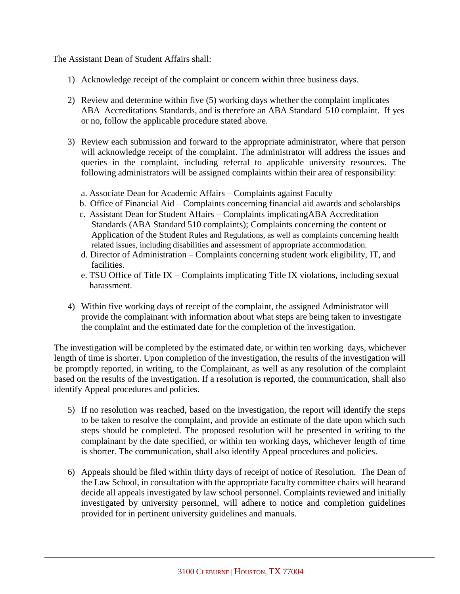The Assistant Dean of Student Affairs shall:

- 1) Acknowledge receipt of the complaint or concern within three business days.
- 2) Review and determine within five (5) working days whether the complaint implicates ABA Accreditations Standards, and is therefore an ABA Standard 510 complaint. If yes or no, follow the applicable procedure stated above.
- 3) Review each submission and forward to the appropriate administrator, where that person will acknowledge receipt of the complaint. The administrator will address the issues and queries in the complaint, including referral to applicable university resources. The following administrators will be assigned complaints within their area of responsibility:
	- a. Associate Dean for Academic Affairs Complaints against Faculty
	- b. Office of Financial Aid Complaints concerning financial aid awards and scholarships
	- c. Assistant Dean for Student Affairs Complaints implicatingABA Accreditation Standards (ABA Standard 510 complaints); Complaints concerning the content or Application of the Student Rules and Regulations, as well as complaints concerning health related issues, including disabilities and assessment of appropriate accommodation.
	- d. Director of Administration Complaints concerning student work eligibility, IT, and facilities.
	- e. TSU Office of Title IX Complaints implicating Title IX violations, including sexual harassment.
- 4) Within five working days of receipt of the complaint, the assigned Administrator will provide the complainant with information about what steps are being taken to investigate the complaint and the estimated date for the completion of the investigation.

The investigation will be completed by the estimated date, or within ten working days, whichever length of time is shorter. Upon completion of the investigation, the results of the investigation will be promptly reported, in writing, to the Complainant, as well as any resolution of the complaint based on the results of the investigation. If a resolution is reported, the communication, shall also identify Appeal procedures and policies.

- 5) If no resolution was reached, based on the investigation, the report will identify the steps to be taken to resolve the complaint, and provide an estimate of the date upon which such steps should be completed. The proposed resolution will be presented in writing to the complainant by the date specified, or within ten working days, whichever length of time is shorter. The communication, shall also identify Appeal procedures and policies.
- 6) Appeals should be filed within thirty days of receipt of notice of Resolution. The Dean of the Law School, in consultation with the appropriate faculty committee chairs will hearand decide all appeals investigated by law school personnel. Complaints reviewed and initially investigated by university personnel, will adhere to notice and completion guidelines provided for in pertinent university guidelines and manuals.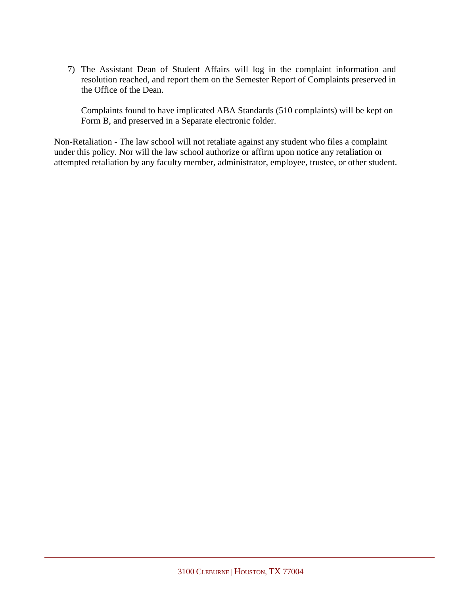7) The Assistant Dean of Student Affairs will log in the complaint information and resolution reached, and report them on the Semester Report of Complaints preserved in the Office of the Dean.

Complaints found to have implicated ABA Standards (510 complaints) will be kept on Form B, and preserved in a Separate electronic folder.

Non-Retaliation - The law school will not retaliate against any student who files a complaint under this policy. Nor will the law school authorize or affirm upon notice any retaliation or attempted retaliation by any faculty member, administrator, employee, trustee, or other student.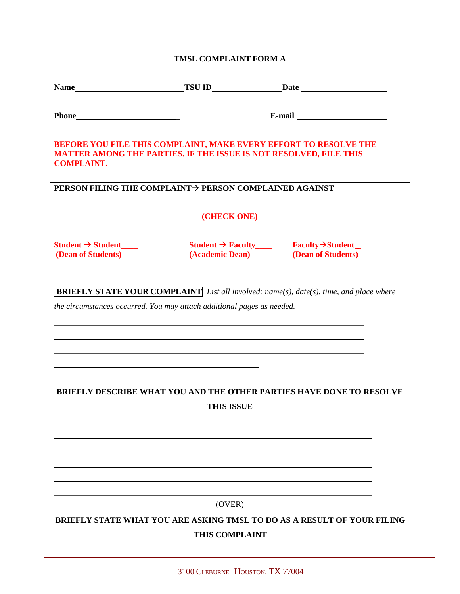#### **TMSL COMPLAINT FORM A**

| <b>Name</b> | <b>TSU ID</b> | Date |  |
|-------------|---------------|------|--|
|             |               |      |  |

| Phone |  |  |
|-------|--|--|
|-------|--|--|

**Phone \_ E-mail**

#### **BEFORE YOU FILE THIS COMPLAINT, MAKE EVERY EFFORT TO RESOLVE THE MATTER AMONG THE PARTIES. IF THE ISSUE IS NOT RESOLVED, FILE THIS COMPLAINT.**

#### **PERSON FILING THE COMPLAINT PERSON COMPLAINED AGAINST**

**(CHECK ONE)**

**Student Student\_\_\_\_ Student Faculty\_\_\_\_ FacultyStudent \_\_ (Dean of Students) (Academic Dean) (Dean of Students)**

**BRIEFLY STATE YOUR COMPLAINT** *List all involved: name(s), date(s), time, and place where*

*the circumstances occurred. You may attach additional pages as needed.*

## **BRIEFLY DESCRIBE WHAT YOU AND THE OTHER PARTIES HAVE DONE TO RESOLVE THIS ISSUE**

#### (OVER)

**BRIEFLY STATE WHAT YOU ARE ASKING TMSL TO DO AS A RESULT OF YOUR FILING THIS COMPLAINT**

3100 CLEBURNE | HOUSTON, TX 77004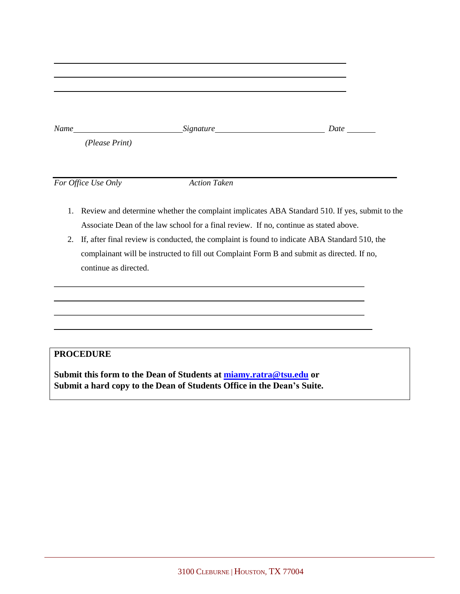| Name           | <b>Date</b> |
|----------------|-------------|
| (Please Print) |             |

*For Office Use Only Action Taken*

- 1. Review and determine whether the complaint implicates ABA Standard 510. If yes, submit to the Associate Dean of the law school for a final review. If no, continue as stated above.
- 2. If, after final review is conducted, the complaint is found to indicate ABA Standard 510, the complainant will be instructed to fill out Complaint Form B and submit as directed. If no, continue as directed.

## **PROCEDURE**

**Submit this form to the Dean of Students at [miamy.ratra@tsu.edu](mailto:miamy.ratra@tsu.edu) or Submit a hard copy to the Dean of Students Office in the Dean's Suite.**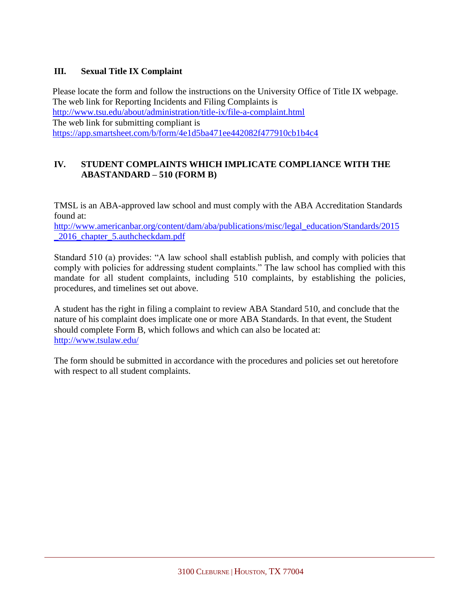## **III. Sexual Title IX Complaint**

Please locate the form and follow the instructions on the University Office of Title IX webpage. The web link for Reporting Incidents and Filing Complaints is <http://www.tsu.edu/about/administration/title-ix/file-a-complaint.html> The web link for submitting compliant is <https://app.smartsheet.com/b/form/4e1d5ba471ee442082f477910cb1b4c4>

## **IV. STUDENT COMPLAINTS WHICH IMPLICATE COMPLIANCE WITH THE ABASTANDARD – 510 (FORM B)**

TMSL is an ABA-approved law school and must comply with the ABA Accreditation Standards found at:

[http://www.americanbar.org/content/dam/aba/publications/misc/legal\\_education/Standards/2015](http://www.americanbar.org/content/dam/aba/publications/misc/legal_education/Standards/2015_2016_chapter_5.authcheckdam.pdf) [\\_2016\\_chapter\\_5.authcheckdam.pdf](http://www.americanbar.org/content/dam/aba/publications/misc/legal_education/Standards/2015_2016_chapter_5.authcheckdam.pdf)

Standard 510 (a) provides: "A law school shall establish publish, and comply with policies that comply with policies for addressing student complaints." The law school has complied with this mandate for all student complaints, including 510 complaints, by establishing the policies, procedures, and timelines set out above.

A student has the right in filing a complaint to review ABA Standard 510, and conclude that the nature of his complaint does implicate one or more ABA Standards. In that event, the Student should complete Form B, which follows and which can also be located at: <http://www.tsulaw.edu/>

The form should be submitted in accordance with the procedures and policies set out heretofore with respect to all student complaints.